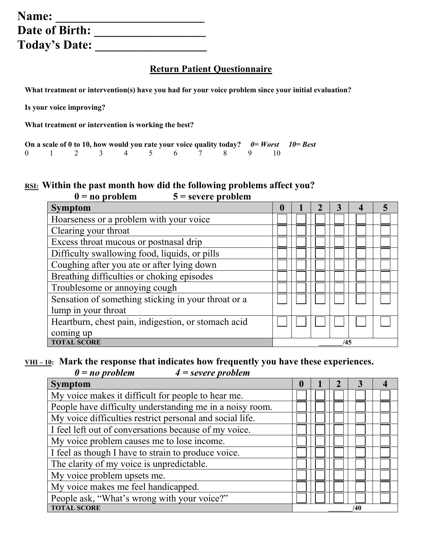| Name:                |  |
|----------------------|--|
| Date of Birth:       |  |
| <b>Today's Date:</b> |  |

# **Return Patient Questionnaire**

**What treatment or intervention(s) have you had for your voice problem since your initial evaluation?** 

**Is your voice improving?**

**What treatment or intervention is working the best?**

|  |  |  |  |                        |  | On a scale of 0 to 10, how would you rate your voice quality today? $0 = Worst$ 10 = Best |
|--|--|--|--|------------------------|--|-------------------------------------------------------------------------------------------|
|  |  |  |  | 0 1 2 3 4 5 6 7 8 9 10 |  |                                                                                           |

### **RSI: Within the past month how did the following problems affect you?** **0 = no problem 5 = severe problem**

| <b>Symptom</b>                                      |  |  |     |  |
|-----------------------------------------------------|--|--|-----|--|
| Hoarseness or a problem with your voice             |  |  |     |  |
| Clearing your throat                                |  |  |     |  |
| Excess throat mucous or postnasal drip              |  |  |     |  |
| Difficulty swallowing food, liquids, or pills       |  |  |     |  |
| Coughing after you ate or after lying down          |  |  |     |  |
| Breathing difficulties or choking episodes          |  |  |     |  |
| Troublesome or annoying cough                       |  |  |     |  |
| Sensation of something sticking in your throat or a |  |  |     |  |
| lump in your throat                                 |  |  |     |  |
| Heartburn, chest pain, indigestion, or stomach acid |  |  |     |  |
| coming up                                           |  |  |     |  |
| <b>TOTAL SCORE</b>                                  |  |  | /45 |  |

### <u>VHI-10</u>: Mark the response that indicates how frequently you have these experiences.<br> $0 = no$  problem  $4 = severe$  problem *0 = no problem 4 = severe problem*

| <b>Symptom</b>                                           | 0 |  |     |  |
|----------------------------------------------------------|---|--|-----|--|
| My voice makes it difficult for people to hear me.       |   |  |     |  |
| People have difficulty understanding me in a noisy room. |   |  |     |  |
| My voice difficulties restrict personal and social life. |   |  |     |  |
| I feel left out of conversations because of my voice.    |   |  |     |  |
| My voice problem causes me to lose income.               |   |  |     |  |
| I feel as though I have to strain to produce voice.      |   |  |     |  |
| The clarity of my voice is unpredictable.                |   |  |     |  |
| My voice problem upsets me.                              |   |  |     |  |
| My voice makes me feel handicapped.                      |   |  |     |  |
| People ask, "What's wrong with your voice?"              |   |  |     |  |
| <b>TOTAL SCORE</b>                                       |   |  | /40 |  |